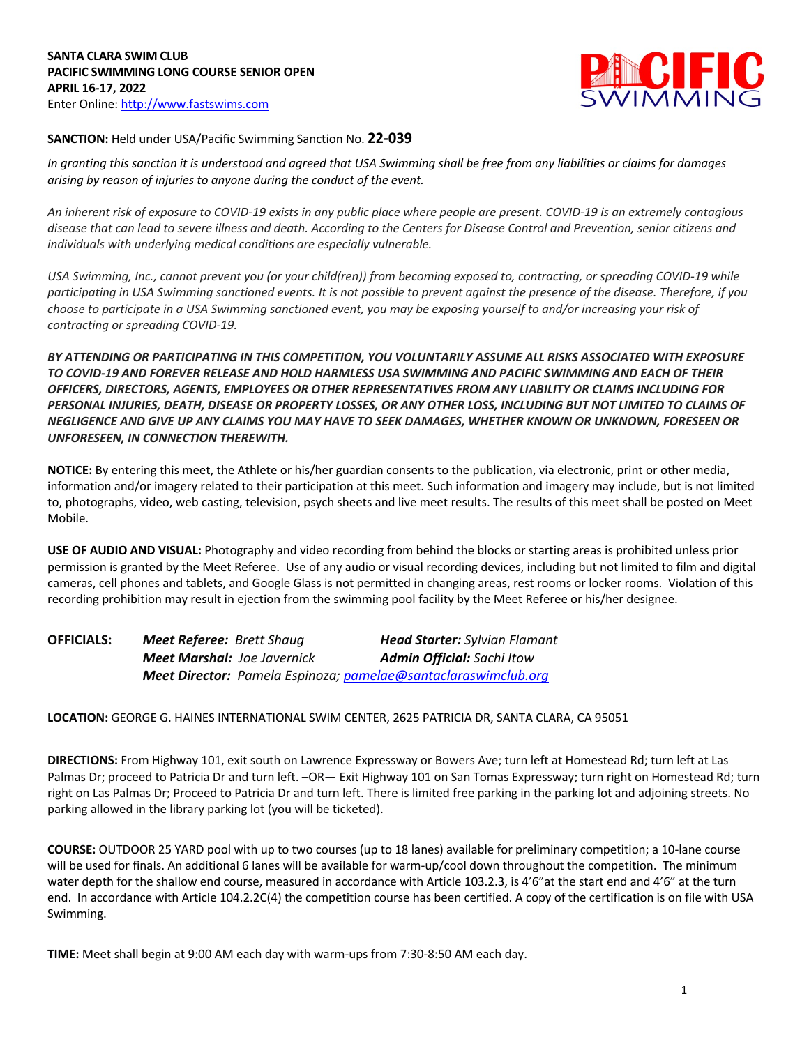

## **SANCTION:** Held under USA/Pacific Swimming Sanction No. **22-039**

*In granting this sanction it is understood and agreed that USA Swimming shall be free from any liabilities or claims for damages arising by reason of injuries to anyone during the conduct of the event.* 

*An inherent risk of exposure to COVID-19 exists in any public place where people are present. COVID-19 is an extremely contagious disease that can lead to severe illness and death. According to the Centers for Disease Control and Prevention, senior citizens and individuals with underlying medical conditions are especially vulnerable.*

*USA Swimming, Inc., cannot prevent you (or your child(ren)) from becoming exposed to, contracting, or spreading COVID-19 while participating in USA Swimming sanctioned events. It is not possible to prevent against the presence of the disease. Therefore, if you choose to participate in a USA Swimming sanctioned event, you may be exposing yourself to and/or increasing your risk of contracting or spreading COVID-19.*

*BY ATTENDING OR PARTICIPATING IN THIS COMPETITION, YOU VOLUNTARILY ASSUME ALL RISKS ASSOCIATED WITH EXPOSURE TO COVID-19 AND FOREVER RELEASE AND HOLD HARMLESS USA SWIMMING AND PACIFIC SWIMMING AND EACH OF THEIR OFFICERS, DIRECTORS, AGENTS, EMPLOYEES OR OTHER REPRESENTATIVES FROM ANY LIABILITY OR CLAIMS INCLUDING FOR PERSONAL INJURIES, DEATH, DISEASE OR PROPERTY LOSSES, OR ANY OTHER LOSS, INCLUDING BUT NOT LIMITED TO CLAIMS OF NEGLIGENCE AND GIVE UP ANY CLAIMS YOU MAY HAVE TO SEEK DAMAGES, WHETHER KNOWN OR UNKNOWN, FORESEEN OR UNFORESEEN, IN CONNECTION THEREWITH.*

**NOTICE:** By entering this meet, the Athlete or his/her guardian consents to the publication, via electronic, print or other media, information and/or imagery related to their participation at this meet. Such information and imagery may include, but is not limited to, photographs, video, web casting, television, psych sheets and live meet results. The results of this meet shall be posted on Meet Mobile.

**USE OF AUDIO AND VISUAL:** Photography and video recording from behind the blocks or starting areas is prohibited unless prior permission is granted by the Meet Referee. Use of any audio or visual recording devices, including but not limited to film and digital cameras, cell phones and tablets, and Google Glass is not permitted in changing areas, rest rooms or locker rooms. Violation of this recording prohibition may result in ejection from the swimming pool facility by the Meet Referee or his/her designee.

| <b>OFFICIALS:</b> | <b>Meet Referee: Brett Shaug</b>                               | <b>Head Starter:</b> Sylvian Flamant |
|-------------------|----------------------------------------------------------------|--------------------------------------|
|                   | <b>Meet Marshal:</b> Joe Javernick                             | <b>Admin Official:</b> Sachi Itow    |
|                   | Meet Director: Pamela Espinoza; pamelae@santaclaraswimclub.org |                                      |

**LOCATION:** GEORGE G. HAINES INTERNATIONAL SWIM CENTER, 2625 PATRICIA DR, SANTA CLARA, CA 95051

**DIRECTIONS:** From Highway 101, exit south on Lawrence Expressway or Bowers Ave; turn left at Homestead Rd; turn left at Las Palmas Dr; proceed to Patricia Dr and turn left. –OR— Exit Highway 101 on San Tomas Expressway; turn right on Homestead Rd; turn right on Las Palmas Dr; Proceed to Patricia Dr and turn left. There is limited free parking in the parking lot and adjoining streets. No parking allowed in the library parking lot (you will be ticketed).

**COURSE:** OUTDOOR 25 YARD pool with up to two courses (up to 18 lanes) available for preliminary competition; a 10-lane course will be used for finals. An additional 6 lanes will be available for warm-up/cool down throughout the competition. The minimum water depth for the shallow end course, measured in accordance with Article 103.2.3, is 4'6" at the start end and 4'6" at the turn end. In accordance with Article 104.2.2C(4) the competition course has been certified. A copy of the certification is on file with USA Swimming.

**TIME:** Meet shall begin at 9:00 AM each day with warm-ups from 7:30-8:50 AM each day.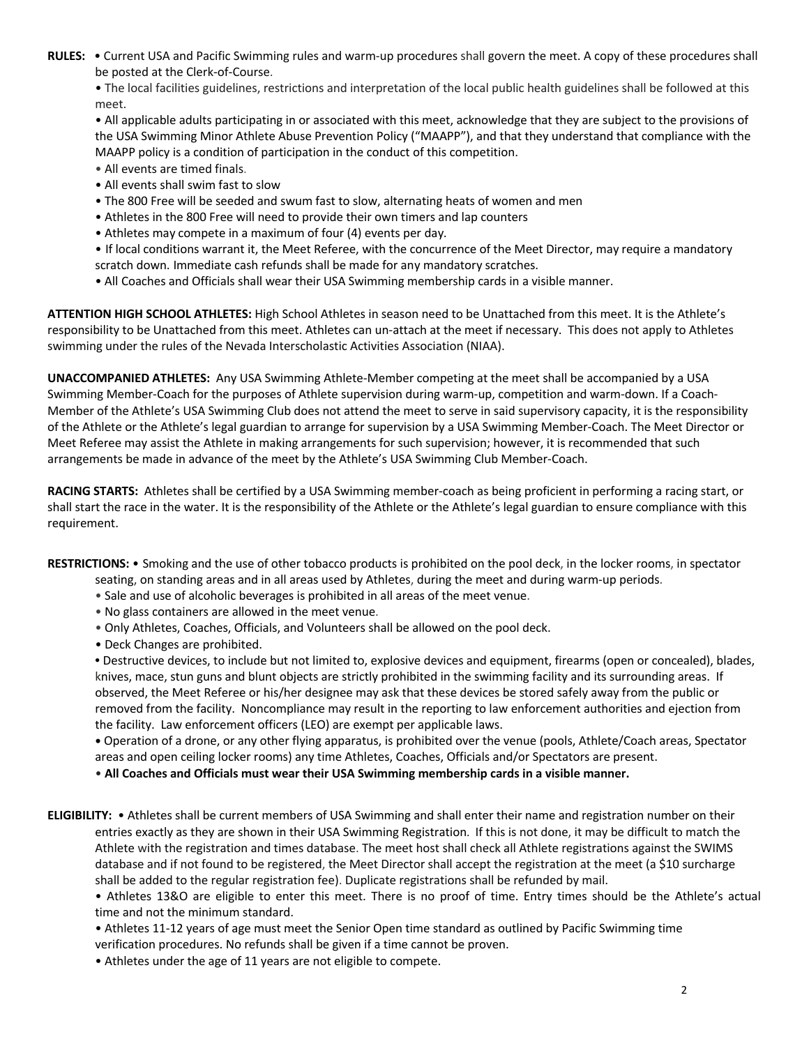**RULES:** • Current USA and Pacific Swimming rules and warm-up procedures shall govern the meet. A copy of these procedures shall be posted at the Clerk-of-Course.

• The local facilities guidelines, restrictions and interpretation of the local public health guidelines shall be followed at this meet.

• All applicable adults participating in or associated with this meet, acknowledge that they are subject to the provisions of the USA Swimming Minor Athlete Abuse Prevention Policy ("MAAPP"), and that they understand that compliance with the MAAPP policy is a condition of participation in the conduct of this competition.

• All events are timed finals.

- All events shall swim fast to slow
- The 800 Free will be seeded and swum fast to slow, alternating heats of women and men
- Athletes in the 800 Free will need to provide their own timers and lap counters
- Athletes may compete in a maximum of four (4) events per day.
- If local conditions warrant it, the Meet Referee, with the concurrence of the Meet Director, may require a mandatory scratch down. Immediate cash refunds shall be made for any mandatory scratches.
- All Coaches and Officials shall wear their USA Swimming membership cards in a visible manner.

**ATTENTION HIGH SCHOOL ATHLETES:** High School Athletes in season need to be Unattached from this meet. It is the Athlete's responsibility to be Unattached from this meet. Athletes can un-attach at the meet if necessary. This does not apply to Athletes swimming under the rules of the Nevada Interscholastic Activities Association (NIAA).

**UNACCOMPANIED ATHLETES:** Any USA Swimming Athlete-Member competing at the meet shall be accompanied by a USA Swimming Member-Coach for the purposes of Athlete supervision during warm-up, competition and warm-down. If a Coach-Member of the Athlete's USA Swimming Club does not attend the meet to serve in said supervisory capacity, it is the responsibility of the Athlete or the Athlete's legal guardian to arrange for supervision by a USA Swimming Member-Coach. The Meet Director or Meet Referee may assist the Athlete in making arrangements for such supervision; however, it is recommended that such arrangements be made in advance of the meet by the Athlete's USA Swimming Club Member-Coach.

**RACING STARTS:** Athletes shall be certified by a USA Swimming member-coach as being proficient in performing a racing start, or shall start the race in the water. It is the responsibility of the Athlete or the Athlete's legal guardian to ensure compliance with this requirement.

**RESTRICTIONS:** • Smoking and the use of other tobacco products is prohibited on the pool deck, in the locker rooms, in spectator

- seating, on standing areas and in all areas used by Athletes, during the meet and during warm-up periods.
- Sale and use of alcoholic beverages is prohibited in all areas of the meet venue.
- No glass containers are allowed in the meet venue.
- Only Athletes, Coaches, Officials, and Volunteers shall be allowed on the pool deck.
- Deck Changes are prohibited.

**•** Destructive devices, to include but not limited to, explosive devices and equipment, firearms (open or concealed), blades, knives, mace, stun guns and blunt objects are strictly prohibited in the swimming facility and its surrounding areas. If observed, the Meet Referee or his/her designee may ask that these devices be stored safely away from the public or removed from the facility. Noncompliance may result in the reporting to law enforcement authorities and ejection from the facility. Law enforcement officers (LEO) are exempt per applicable laws.

**•** Operation of a drone, or any other flying apparatus, is prohibited over the venue (pools, Athlete/Coach areas, Spectator areas and open ceiling locker rooms) any time Athletes, Coaches, Officials and/or Spectators are present.

• **All Coaches and Officials must wear their USA Swimming membership cards in a visible manner.**

**ELIGIBILITY:** • Athletes shall be current members of USA Swimming and shall enter their name and registration number on their entries exactly as they are shown in their USA Swimming Registration. If this is not done, it may be difficult to match the Athlete with the registration and times database. The meet host shall check all Athlete registrations against the SWIMS database and if not found to be registered, the Meet Director shall accept the registration at the meet (a \$10 surcharge shall be added to the regular registration fee). Duplicate registrations shall be refunded by mail.

• Athletes 13&O are eligible to enter this meet. There is no proof of time. Entry times should be the Athlete's actual time and not the minimum standard.

• Athletes 11-12 years of age must meet the Senior Open time standard as outlined by Pacific Swimming time verification procedures. No refunds shall be given if a time cannot be proven.

• Athletes under the age of 11 years are not eligible to compete.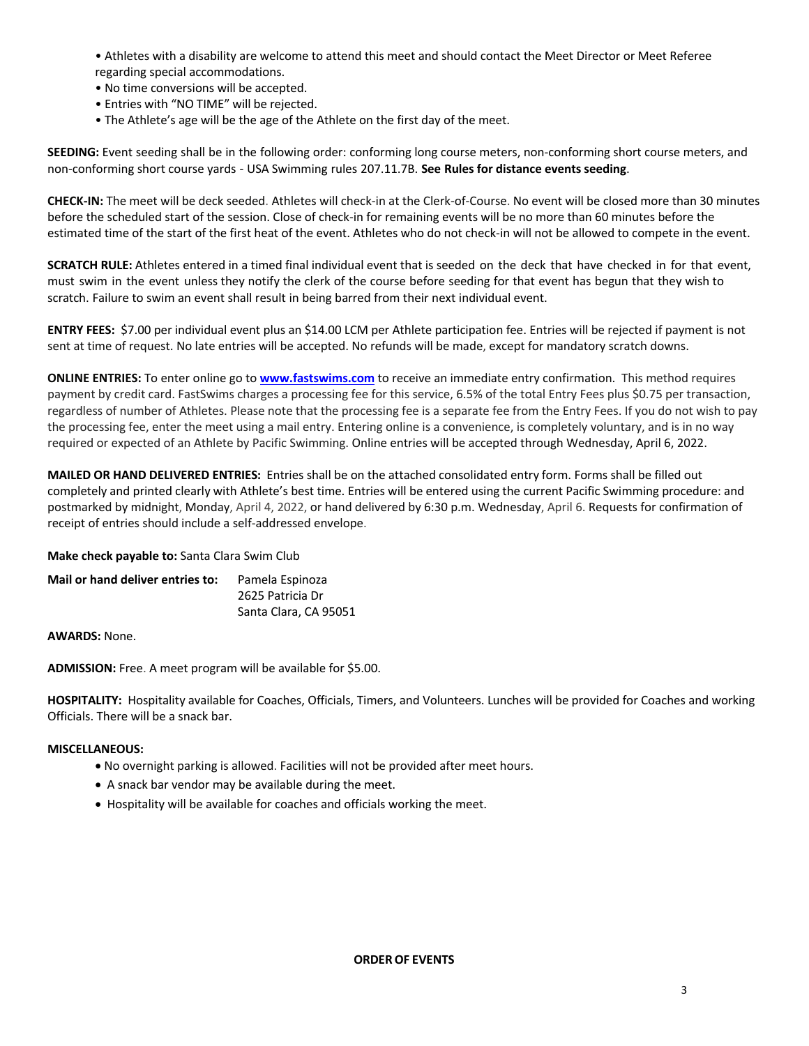• Athletes with a disability are welcome to attend this meet and should contact the Meet Director or Meet Referee regarding special accommodations.

- No time conversions will be accepted.
- Entries with "NO TIME" will be rejected.
- The Athlete's age will be the age of the Athlete on the first day of the meet.

**SEEDING:** Event seeding shall be in the following order: conforming long course meters, non-conforming short course meters, and non-conforming short course yards - USA Swimming rules 207.11.7B. **See Rules for distance events seeding**.

**CHECK-IN:** The meet will be deck seeded. Athletes will check-in at the Clerk-of-Course. No event will be closed more than 30 minutes before the scheduled start of the session. Close of check-in for remaining events will be no more than 60 minutes before the estimated time of the start of the first heat of the event. Athletes who do not check-in will not be allowed to compete in the event.

**SCRATCH RULE:** Athletes entered in a timed final individual event that is seeded on the deck that have checked in for that event, must swim in the event unless they notify the clerk of the course before seeding for that event has begun that they wish to scratch. Failure to swim an event shall result in being barred from their next individual event.

**ENTRY FEES:** \$7.00 per individual event plus an \$14.00 LCM per Athlete participation fee. Entries will be rejected if payment is not sent at time of request. No late entries will be accepted. No refunds will be made, except for mandatory scratch downs.

**ONLINE ENTRIES:** To enter online go to **www.fastswims.com** to receive an immediate entry confirmation. This method requires payment by credit card. FastSwims charges a processing fee for this service, 6.5% of the total Entry Fees plus \$0.75 per transaction, regardless of number of Athletes. Please note that the processing fee is a separate fee from the Entry Fees. If you do not wish to pay the processing fee, enter the meet using a mail entry. Entering online is a convenience, is completely voluntary, and is in no way required or expected of an Athlete by Pacific Swimming. Online entries will be accepted through Wednesday, April 6, 2022.

**MAILED OR HAND DELIVERED ENTRIES:** Entries shall be on the attached consolidated entry form. Forms shall be filled out completely and printed clearly with Athlete's best time. Entries will be entered using the current Pacific Swimming procedure: and postmarked by midnight, Monday, April 4, 2022, or hand delivered by 6:30 p.m. Wednesday, April 6. Requests for confirmation of receipt of entries should include a self-addressed envelope.

**Make check payable to:** Santa Clara Swim Club

| Mail or hand deliver entries to: | Pamela Espinoza       |  |  |  |
|----------------------------------|-----------------------|--|--|--|
|                                  | 2625 Patricia Dr      |  |  |  |
|                                  | Santa Clara, CA 95051 |  |  |  |

**AWARDS:** None.

**ADMISSION:** Free. A meet program will be available for \$5.00.

**HOSPITALITY:** Hospitality available for Coaches, Officials, Timers, and Volunteers. Lunches will be provided for Coaches and working Officials. There will be a snack bar.

## **MISCELLANEOUS:**

- No overnight parking is allowed. Facilities will not be provided after meet hours.
- A snack bar vendor may be available during the meet.
- Hospitality will be available for coaches and officials working the meet.

**ORDEROF EVENTS**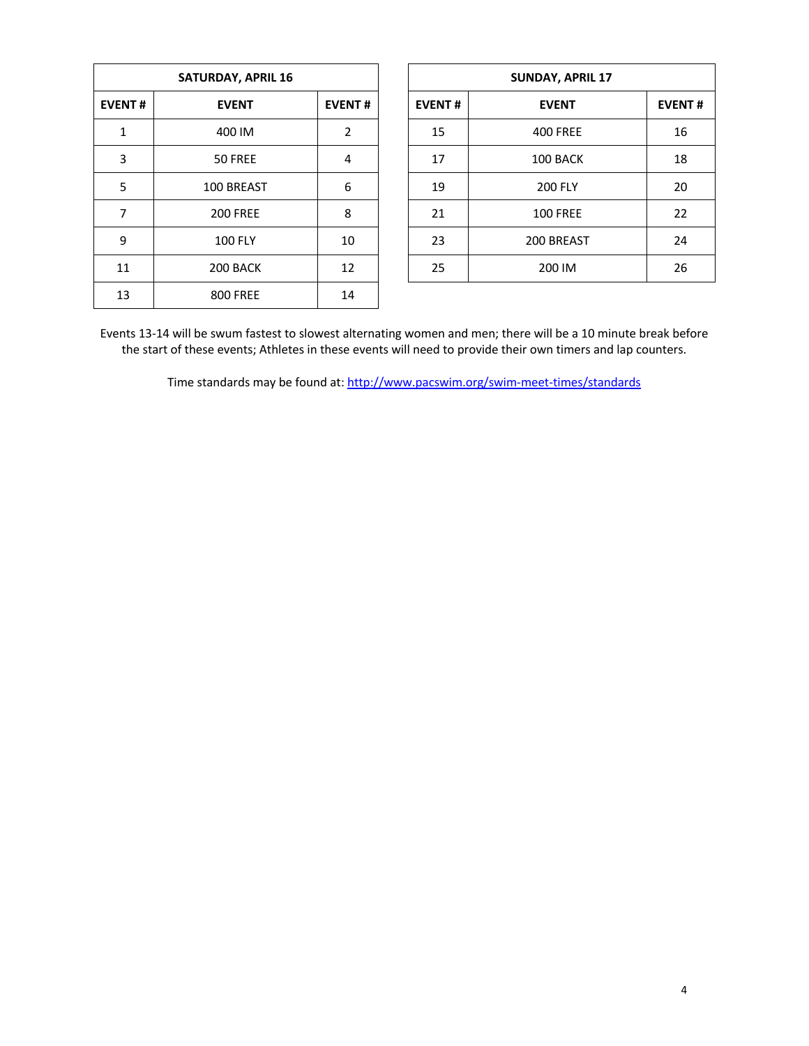| <b>SATURDAY, APRIL 16</b> |                 |                |  |  |  |  |  |
|---------------------------|-----------------|----------------|--|--|--|--|--|
| <b>EVENT#</b>             | <b>EVENT#</b>   |                |  |  |  |  |  |
| 1                         | 400 IM          | $\overline{2}$ |  |  |  |  |  |
| 3                         | 50 FREE         | 4              |  |  |  |  |  |
| 5                         | 100 BREAST      | 6              |  |  |  |  |  |
| 7                         | <b>200 FREE</b> | 8              |  |  |  |  |  |
| 9                         | <b>100 FLY</b>  | 10             |  |  |  |  |  |
| 11                        | 200 BACK        | 12             |  |  |  |  |  |
| 13                        | <b>800 FREE</b> | 14             |  |  |  |  |  |

| <b>SATURDAY, APRIL 16</b> |                 |               |  |               | <b>SUNDAY, APRIL 17</b> |               |
|---------------------------|-----------------|---------------|--|---------------|-------------------------|---------------|
| <b>EVENT#</b>             | <b>EVENT</b>    | <b>EVENT#</b> |  | <b>EVENT#</b> | <b>EVENT</b>            | <b>EVENT#</b> |
| 1                         | 400 IM          | 2             |  | 15            | <b>400 FREE</b>         | 16            |
| 3                         | 50 FREE         | 4             |  | 17            | 100 BACK                | 18            |
| 5                         | 100 BREAST      | 6             |  | 19            | <b>200 FLY</b>          | 20            |
| 7                         | <b>200 FREE</b> | 8             |  | 21            | <b>100 FREE</b>         | 22            |
| 9                         | <b>100 FLY</b>  | 10            |  | 23            | 200 BREAST              | 24            |
| 11                        | 200 BACK        | 12            |  | 25            | 200 IM                  | 26            |
|                           |                 |               |  |               |                         |               |

Events 13-14 will be swum fastest to slowest alternating women and men; there will be a 10 minute break before the start of these events; Athletes in these events will need to provide their own timers and lap counters.

Time standards may be found at: http://www.pacswim.org/swim-meet-times/standards